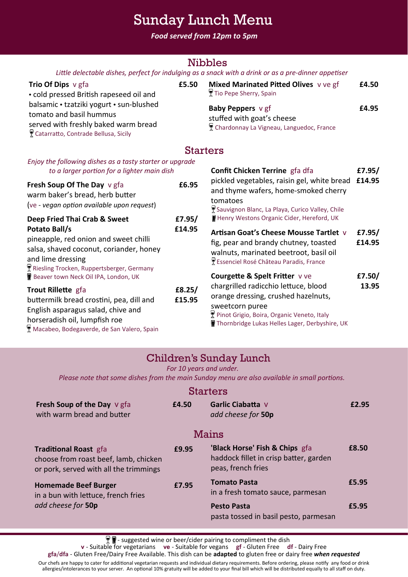# Sunday Lunch Menu

*Food served from 12pm to 5pm*

## Nibbles

| Little delectable dishes, perfect for indulging as a snack with a drink or as a pre-dinner appetiser |  |  |
|------------------------------------------------------------------------------------------------------|--|--|
|------------------------------------------------------------------------------------------------------|--|--|

| <b>Trio Of Dips</b> $\vee$ gfa           | £5.50 | Mixed Marinated Pitted Olives v ve gf    | £4.50 |
|------------------------------------------|-------|------------------------------------------|-------|
| • cold pressed British rapeseed oil and  |       | ¶ Tio Pepe Sherry, Spain                 |       |
| balsamic • tzatziki yogurt • sun-blushed |       | Baby Peppers v gf                        | £4.95 |
| tomato and basil hummus                  |       | stuffed with goat's cheese               |       |
| served with freshly baked warm bread     |       | Chardonnay La Vigneau, Languedoc, France |       |
| ₹ Catarratto, Contrade Bellusa, Sicily   |       |                                          |       |

### Starters

| Enjoy the following dishes as a tasty starter or upgrade<br>to a larger portion for a lighter main dish                                                                             |                  | <b>Confit Chicken Terrine</b> gfa dfa                                                                                                                                                          | £7.95/           |
|-------------------------------------------------------------------------------------------------------------------------------------------------------------------------------------|------------------|------------------------------------------------------------------------------------------------------------------------------------------------------------------------------------------------|------------------|
| Fresh Soup Of The Day v gfa<br>warm baker's bread, herb butter<br>(ve - vegan option available upon request)                                                                        | £6.95            | pickled vegetables, raisin gel, white bread £14.95<br>and thyme wafers, home-smoked cherry<br>tomatoes<br>Sauvignon Blanc, La Playa, Curico Valley, Chile                                      |                  |
| Deep Fried Thai Crab & Sweet                                                                                                                                                        | £7.95/           | Henry Westons Organic Cider, Hereford, UK                                                                                                                                                      |                  |
| Potato Ball/s<br>pineapple, red onion and sweet chilli<br>salsa, shaved coconut, coriander, honey<br>and lime dressing<br>Riesling Trocken, Ruppertsberger, Germany                 | £14.95           | Artisan Goat's Cheese Mousse Tartlet v<br>fig, pear and brandy chutney, toasted<br>walnuts, marinated beetroot, basil oil<br>Essenciel Rosé Château Paradis, France                            | £7.95/<br>£14.95 |
| Beaver town Neck Oil IPA, London, UK                                                                                                                                                |                  | <b>Courgette &amp; Spelt Fritter vve</b>                                                                                                                                                       | £7.50/           |
| Trout Rillette gfa<br>buttermilk bread crostini, pea, dill and<br>English asparagus salad, chive and<br>horseradish oil, lumpfish roe<br>Macabeo, Bodegaverde, de San Valero, Spain | £8.25/<br>£15.95 | chargrilled radicchio lettuce, blood<br>orange dressing, crushed hazelnuts,<br>sweetcorn puree<br>Pinot Grigio, Boira, Organic Veneto, Italy<br>Thornbridge Lukas Helles Lager, Derbyshire, UK | 13.95            |

## Children's Sunday Lunch

*For 10 years and under.* 

*Please note that some dishes from the main Sunday menu are also available in small portions.*

### **Starters**

| Fresh Soup of the Day V gfa<br>with warm bread and butter                                                       | £4.50 | Garlic Ciabatta V<br>add cheese for 50p                                                        | £2.95 |
|-----------------------------------------------------------------------------------------------------------------|-------|------------------------------------------------------------------------------------------------|-------|
|                                                                                                                 |       | <b>Mains</b>                                                                                   |       |
| <b>Traditional Roast gfa</b><br>choose from roast beef, lamb, chicken<br>or pork, served with all the trimmings | £9.95 | 'Black Horse' Fish & Chips gfa<br>haddock fillet in crisp batter, garden<br>peas, french fries | £8.50 |
| <b>Homemade Beef Burger</b><br>in a bun with lettuce, french fries<br>add cheese for 50p                        | £7.95 | <b>Tomato Pasta</b><br>in a fresh tomato sauce, parmesan                                       | £5.95 |
|                                                                                                                 |       | <b>Pesto Pasta</b><br>pasta tossed in basil pesto, parmesan                                    | £5.95 |

- suggested wine or beer/cider pairing to compliment the dish

**v** - Suitable for vegetarians **ve** - Suitable for vegans **gf** - Gluten Free **df** - Dairy Free

**gfa**/**dfa** - Gluten Free/Dairy Free Available. This dish can be **adapted** to gluten free or dairy free *when requested*

Our chefs are happy to cater for additional vegetarian requests and individual dietary requirements. Before ordering, please notify any food or drink allergies/intolerances to your server. An optional 10% gratuity will be added to your final bill which will be distributed equally to all staff on duty.